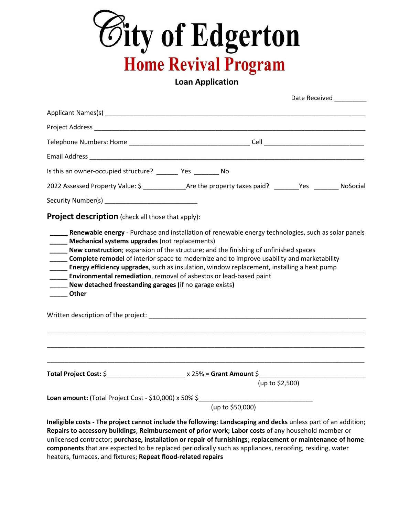

**Loan Application**

|                                                                                                                                                                                                                                | Date Received                                                                                                                                                                                                                                                                                                                                       |  |
|--------------------------------------------------------------------------------------------------------------------------------------------------------------------------------------------------------------------------------|-----------------------------------------------------------------------------------------------------------------------------------------------------------------------------------------------------------------------------------------------------------------------------------------------------------------------------------------------------|--|
| Applicant Names(s) experience and the contract of the contract of the contract of the contract of the contract of the contract of the contract of the contract of the contract of the contract of the contract of the contract |                                                                                                                                                                                                                                                                                                                                                     |  |
|                                                                                                                                                                                                                                |                                                                                                                                                                                                                                                                                                                                                     |  |
|                                                                                                                                                                                                                                |                                                                                                                                                                                                                                                                                                                                                     |  |
|                                                                                                                                                                                                                                |                                                                                                                                                                                                                                                                                                                                                     |  |
| Is this an owner-occupied structure? __________ Yes __________ No                                                                                                                                                              |                                                                                                                                                                                                                                                                                                                                                     |  |
|                                                                                                                                                                                                                                | 2022 Assessed Property Value: \$ ________________Are the property taxes paid? _______Yes ________ NoSocial                                                                                                                                                                                                                                          |  |
|                                                                                                                                                                                                                                |                                                                                                                                                                                                                                                                                                                                                     |  |
| <b>Project description</b> (check all those that apply):                                                                                                                                                                       |                                                                                                                                                                                                                                                                                                                                                     |  |
| <b>Environmental remediation</b> , removal of asbestos or lead-based paint<br>New detached freestanding garages (if no garage exists)<br>_____ Other                                                                           | <b>Complete remodel</b> of interior space to modernize and to improve usability and marketability<br><b>____ Energy efficiency upgrades</b> , such as insulation, window replacement, installing a heat pump                                                                                                                                        |  |
|                                                                                                                                                                                                                                |                                                                                                                                                                                                                                                                                                                                                     |  |
|                                                                                                                                                                                                                                | (up to \$2,500)                                                                                                                                                                                                                                                                                                                                     |  |
|                                                                                                                                                                                                                                |                                                                                                                                                                                                                                                                                                                                                     |  |
|                                                                                                                                                                                                                                | Loan amount: (Total Project Cost - \$10,000) x 50% \$______________________________<br>(up to \$50,000)                                                                                                                                                                                                                                             |  |
|                                                                                                                                                                                                                                | Ineligible costs - The project cannot include the following: Landscaping and decks unless part of an addition;<br>$\mathbf{r}$ , and the contract of the contract of the contract of the contract of the contract of the contract of the contract of the contract of the contract of the contract of the contract of the contract of the contract o |  |

**Repairs to accessory buildings**; **Reimbursement of prior work; Labor costs** of any household member or unlicensed contractor; **purchase, installation or repair of furnishings**; **replacement or maintenance of home components** that are expected to be replaced periodically such as appliances, reroofing, residing, water heaters, furnaces, and fixtures; **Repeat flood-related repairs**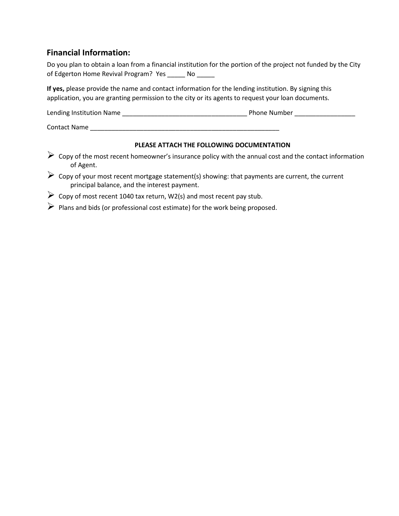## **Financial Information:**

| Do you plan to obtain a loan from a financial institution for the portion of the project not funded by the City |  |  |  |
|-----------------------------------------------------------------------------------------------------------------|--|--|--|
| of Edgerton Home Revival Program? Yes                                                                           |  |  |  |

**If yes,** please provide the name and contact information for the lending institution. By signing this application, you are granting permission to the city or its agents to request your loan documents.

| Lending Institution Name | <b>Phone Number</b> |
|--------------------------|---------------------|
|                          |                     |

Contact Name \_\_\_\_\_\_\_\_\_\_\_\_\_\_\_\_\_\_\_\_\_\_\_\_\_\_\_\_\_\_\_\_\_\_\_\_\_\_\_\_\_\_\_\_\_\_\_\_\_\_\_\_\_

## **PLEASE ATTACH THE FOLLOWING DOCUMENTATION**

- $\triangleright$  Copy of the most recent homeowner's insurance policy with the annual cost and the contact information of Agent.
- ➢ Copy of your most recent mortgage statement(s) showing: that payments are current, the current principal balance, and the interest payment.
- ➢ Copy of most recent 1040 tax return, W2(s) and most recent pay stub.
- ➢ Plans and bids (or professional cost estimate) for the work being proposed.